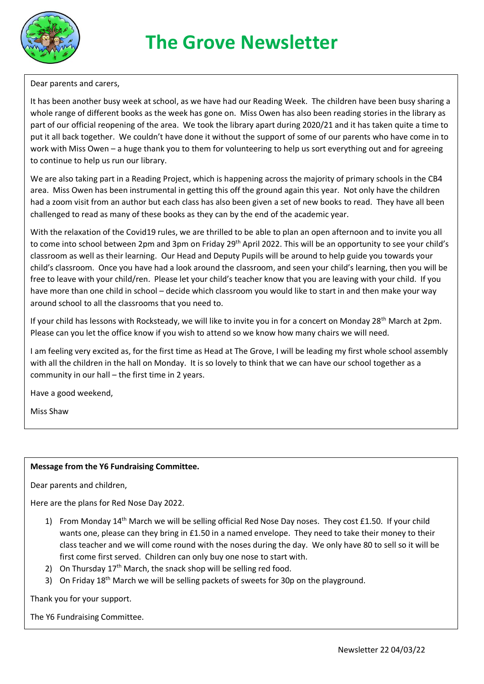

Dear parents and carers,

It has been another busy week at school, as we have had our Reading Week. The children have been busy sharing a whole range of different books as the week has gone on. Miss Owen has also been reading stories in the library as part of our official reopening of the area. We took the library apart during 2020/21 and it has taken quite a time to put it all back together. We couldn't have done it without the support of some of our parents who have come in to work with Miss Owen – a huge thank you to them for volunteering to help us sort everything out and for agreeing to continue to help us run our library.

We are also taking part in a Reading Project, which is happening across the majority of primary schools in the CB4 area. Miss Owen has been instrumental in getting this off the ground again this year. Not only have the children had a zoom visit from an author but each class has also been given a set of new books to read. They have all been challenged to read as many of these books as they can by the end of the academic year.

With the relaxation of the Covid19 rules, we are thrilled to be able to plan an open afternoon and to invite you all to come into school between 2pm and 3pm on Friday 29<sup>th</sup> April 2022. This will be an opportunity to see your child's classroom as well as their learning. Our Head and Deputy Pupils will be around to help guide you towards your child's classroom. Once you have had a look around the classroom, and seen your child's learning, then you will be free to leave with your child/ren. Please let your child's teacher know that you are leaving with your child. If you have more than one child in school – decide which classroom you would like to start in and then make your way around school to all the classrooms that you need to.

If your child has lessons with Rocksteady, we will like to invite you in for a concert on Monday 28<sup>th</sup> March at 2pm. Please can you let the office know if you wish to attend so we know how many chairs we will need.

I am feeling very excited as, for the first time as Head at The Grove, I will be leading my first whole school assembly with all the children in the hall on Monday. It is so lovely to think that we can have our school together as a community in our hall – the first time in 2 years.

Have a good weekend,

Miss Shaw

#### **Message from the Y6 Fundraising Committee.**

Dear parents and children,

Here are the plans for Red Nose Day 2022.

- 1) From Monday 14<sup>th</sup> March we will be selling official Red Nose Day noses. They cost £1.50. If your child wants one, please can they bring in £1.50 in a named envelope. They need to take their money to their class teacher and we will come round with the noses during the day. We only have 80 to sell so it will be first come first served. Children can only buy one nose to start with.
- 2) On Thursday  $17<sup>th</sup>$  March, the snack shop will be selling red food.
- 3) On Friday 18<sup>th</sup> March we will be selling packets of sweets for 30p on the playground.

#### Thank you for your support.

The Y6 Fundraising Committee.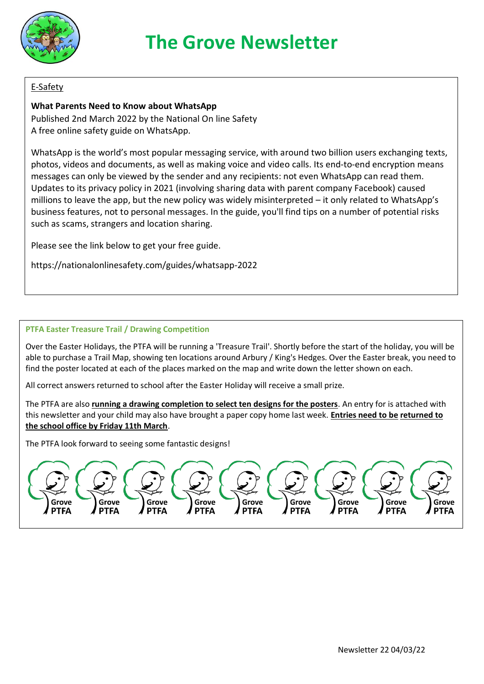

# **The Grove Newsletter**

#### E-Safety

#### **What Parents Need to Know about WhatsApp**

Published 2nd March 2022 by the National On line Safety A free online safety guide on WhatsApp.

WhatsApp is the world's most popular messaging service, with around two billion users exchanging texts, photos, videos and documents, as well as making voice and video calls. Its end-to-end encryption means messages can only be viewed by the sender and any recipients: not even WhatsApp can read them. Updates to its privacy policy in 2021 (involving sharing data with parent company Facebook) caused millions to leave the app, but the new policy was widely misinterpreted – it only related to WhatsApp's business features, not to personal messages. In the guide, you'll find tips on a number of potential risks such as scams, strangers and location sharing.

Please see the link below to get your free guide.

https://nationalonlinesafety.com/guides/whatsapp-2022

#### **PTFA Easter Treasure Trail / Drawing Competition**

Over the Easter Holidays, the PTFA will be running a 'Treasure Trail'. Shortly before the start of the holiday, you will be able to purchase a Trail Map, showing ten locations around Arbury / King's Hedges. Over the Easter break, you need to find the poster located at each of the places marked on the map and write down the letter shown on each.

All correct answers returned to school after the Easter Holiday will receive a small prize.

The PTFA are also **running a drawing completion to select ten designs for the posters**. An entry for is attached with this newsletter and your child may also have brought a paper copy home last week. **Entries need to be returned to the school office by Friday 11th March**.

The PTFA look forward to seeing some fantastic designs!

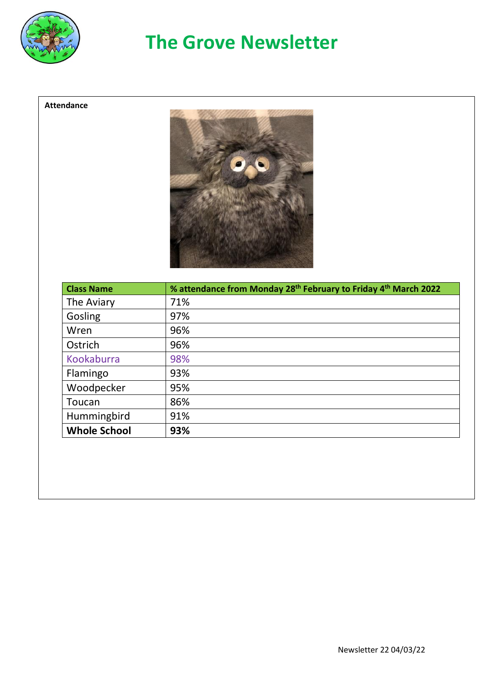

## **The Grove Newsletter**

#### **Attendance**



| <b>Class Name</b>   | % attendance from Monday 28 <sup>th</sup> February to Friday 4 <sup>th</sup> March 2022 |
|---------------------|-----------------------------------------------------------------------------------------|
| The Aviary          | 71%                                                                                     |
| Gosling             | 97%                                                                                     |
| Wren                | 96%                                                                                     |
| Ostrich             | 96%                                                                                     |
| Kookaburra          | 98%                                                                                     |
| Flamingo            | 93%                                                                                     |
| Woodpecker          | 95%                                                                                     |
| Toucan              | 86%                                                                                     |
| Hummingbird         | 91%                                                                                     |
| <b>Whole School</b> | 93%                                                                                     |